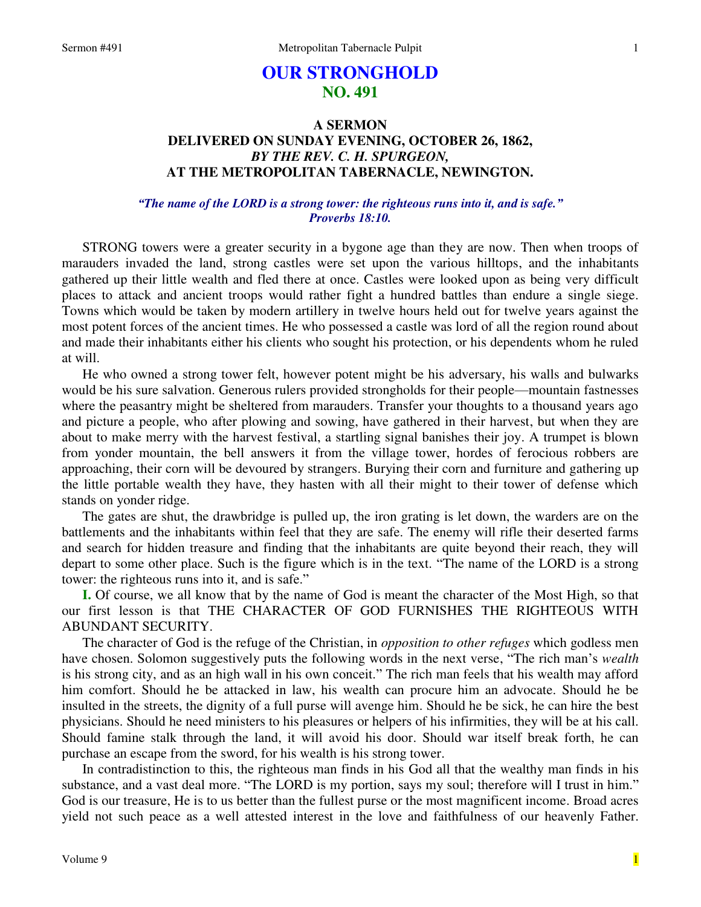# **OUR STRONGHOLD NO. 491**

## **A SERMON DELIVERED ON SUNDAY EVENING, OCTOBER 26, 1862,**  *BY THE REV. C. H. SPURGEON,*  **AT THE METROPOLITAN TABERNACLE, NEWINGTON.**

## *"The name of the LORD is a strong tower: the righteous runs into it, and is safe." Proverbs 18:10.*

STRONG towers were a greater security in a bygone age than they are now. Then when troops of marauders invaded the land, strong castles were set upon the various hilltops, and the inhabitants gathered up their little wealth and fled there at once. Castles were looked upon as being very difficult places to attack and ancient troops would rather fight a hundred battles than endure a single siege. Towns which would be taken by modern artillery in twelve hours held out for twelve years against the most potent forces of the ancient times. He who possessed a castle was lord of all the region round about and made their inhabitants either his clients who sought his protection, or his dependents whom he ruled at will.

He who owned a strong tower felt, however potent might be his adversary, his walls and bulwarks would be his sure salvation. Generous rulers provided strongholds for their people—mountain fastnesses where the peasantry might be sheltered from marauders. Transfer your thoughts to a thousand years ago and picture a people, who after plowing and sowing, have gathered in their harvest, but when they are about to make merry with the harvest festival, a startling signal banishes their joy. A trumpet is blown from yonder mountain, the bell answers it from the village tower, hordes of ferocious robbers are approaching, their corn will be devoured by strangers. Burying their corn and furniture and gathering up the little portable wealth they have, they hasten with all their might to their tower of defense which stands on yonder ridge.

The gates are shut, the drawbridge is pulled up, the iron grating is let down, the warders are on the battlements and the inhabitants within feel that they are safe. The enemy will rifle their deserted farms and search for hidden treasure and finding that the inhabitants are quite beyond their reach, they will depart to some other place. Such is the figure which is in the text. "The name of the LORD is a strong tower: the righteous runs into it, and is safe."

**I.** Of course, we all know that by the name of God is meant the character of the Most High, so that our first lesson is that THE CHARACTER OF GOD FURNISHES THE RIGHTEOUS WITH ABUNDANT SECURITY.

The character of God is the refuge of the Christian, in *opposition to other refuges* which godless men have chosen. Solomon suggestively puts the following words in the next verse, "The rich man's *wealth*  is his strong city, and as an high wall in his own conceit." The rich man feels that his wealth may afford him comfort. Should he be attacked in law, his wealth can procure him an advocate. Should he be insulted in the streets, the dignity of a full purse will avenge him. Should he be sick, he can hire the best physicians. Should he need ministers to his pleasures or helpers of his infirmities, they will be at his call. Should famine stalk through the land, it will avoid his door. Should war itself break forth, he can purchase an escape from the sword, for his wealth is his strong tower.

In contradistinction to this, the righteous man finds in his God all that the wealthy man finds in his substance, and a vast deal more. "The LORD is my portion, says my soul; therefore will I trust in him." God is our treasure, He is to us better than the fullest purse or the most magnificent income. Broad acres yield not such peace as a well attested interest in the love and faithfulness of our heavenly Father.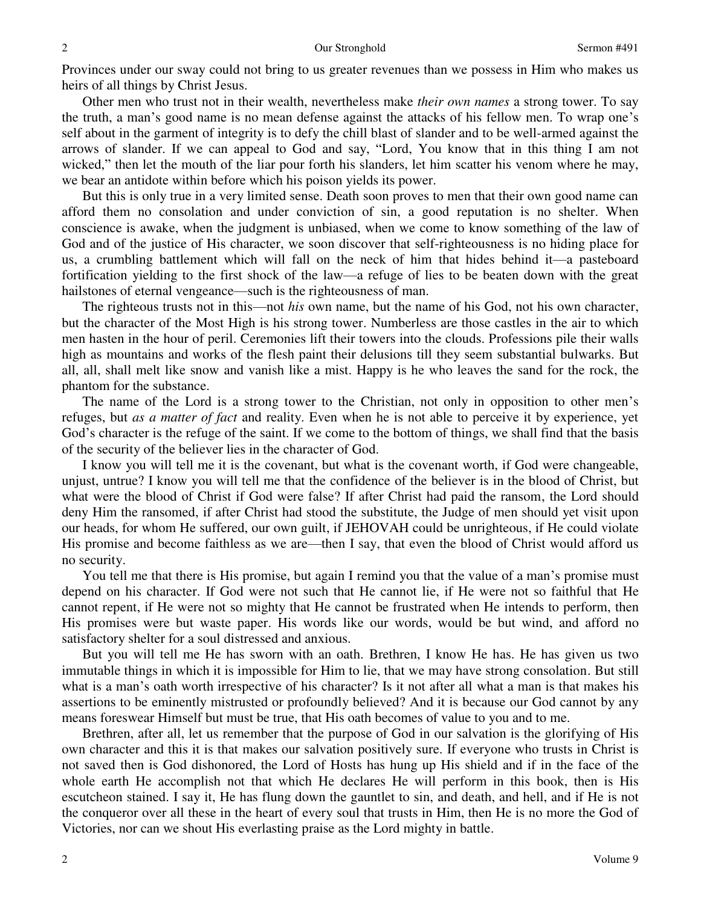Provinces under our sway could not bring to us greater revenues than we possess in Him who makes us heirs of all things by Christ Jesus.

Other men who trust not in their wealth, nevertheless make *their own names* a strong tower. To say the truth, a man's good name is no mean defense against the attacks of his fellow men. To wrap one's self about in the garment of integrity is to defy the chill blast of slander and to be well-armed against the arrows of slander. If we can appeal to God and say, "Lord, You know that in this thing I am not wicked," then let the mouth of the liar pour forth his slanders, let him scatter his venom where he may, we bear an antidote within before which his poison yields its power.

But this is only true in a very limited sense. Death soon proves to men that their own good name can afford them no consolation and under conviction of sin, a good reputation is no shelter. When conscience is awake, when the judgment is unbiased, when we come to know something of the law of God and of the justice of His character, we soon discover that self-righteousness is no hiding place for us, a crumbling battlement which will fall on the neck of him that hides behind it—a pasteboard fortification yielding to the first shock of the law—a refuge of lies to be beaten down with the great hailstones of eternal vengeance—such is the righteousness of man.

The righteous trusts not in this—not *his* own name, but the name of his God, not his own character, but the character of the Most High is his strong tower. Numberless are those castles in the air to which men hasten in the hour of peril. Ceremonies lift their towers into the clouds. Professions pile their walls high as mountains and works of the flesh paint their delusions till they seem substantial bulwarks. But all, all, shall melt like snow and vanish like a mist. Happy is he who leaves the sand for the rock, the phantom for the substance.

The name of the Lord is a strong tower to the Christian, not only in opposition to other men's refuges, but *as a matter of fact* and reality. Even when he is not able to perceive it by experience, yet God's character is the refuge of the saint. If we come to the bottom of things, we shall find that the basis of the security of the believer lies in the character of God.

I know you will tell me it is the covenant, but what is the covenant worth, if God were changeable, unjust, untrue? I know you will tell me that the confidence of the believer is in the blood of Christ, but what were the blood of Christ if God were false? If after Christ had paid the ransom, the Lord should deny Him the ransomed, if after Christ had stood the substitute, the Judge of men should yet visit upon our heads, for whom He suffered, our own guilt, if JEHOVAH could be unrighteous, if He could violate His promise and become faithless as we are—then I say, that even the blood of Christ would afford us no security.

You tell me that there is His promise, but again I remind you that the value of a man's promise must depend on his character. If God were not such that He cannot lie, if He were not so faithful that He cannot repent, if He were not so mighty that He cannot be frustrated when He intends to perform, then His promises were but waste paper. His words like our words, would be but wind, and afford no satisfactory shelter for a soul distressed and anxious.

But you will tell me He has sworn with an oath. Brethren, I know He has. He has given us two immutable things in which it is impossible for Him to lie, that we may have strong consolation. But still what is a man's oath worth irrespective of his character? Is it not after all what a man is that makes his assertions to be eminently mistrusted or profoundly believed? And it is because our God cannot by any means foreswear Himself but must be true, that His oath becomes of value to you and to me.

Brethren, after all, let us remember that the purpose of God in our salvation is the glorifying of His own character and this it is that makes our salvation positively sure. If everyone who trusts in Christ is not saved then is God dishonored, the Lord of Hosts has hung up His shield and if in the face of the whole earth He accomplish not that which He declares He will perform in this book, then is His escutcheon stained. I say it, He has flung down the gauntlet to sin, and death, and hell, and if He is not the conqueror over all these in the heart of every soul that trusts in Him, then He is no more the God of Victories, nor can we shout His everlasting praise as the Lord mighty in battle.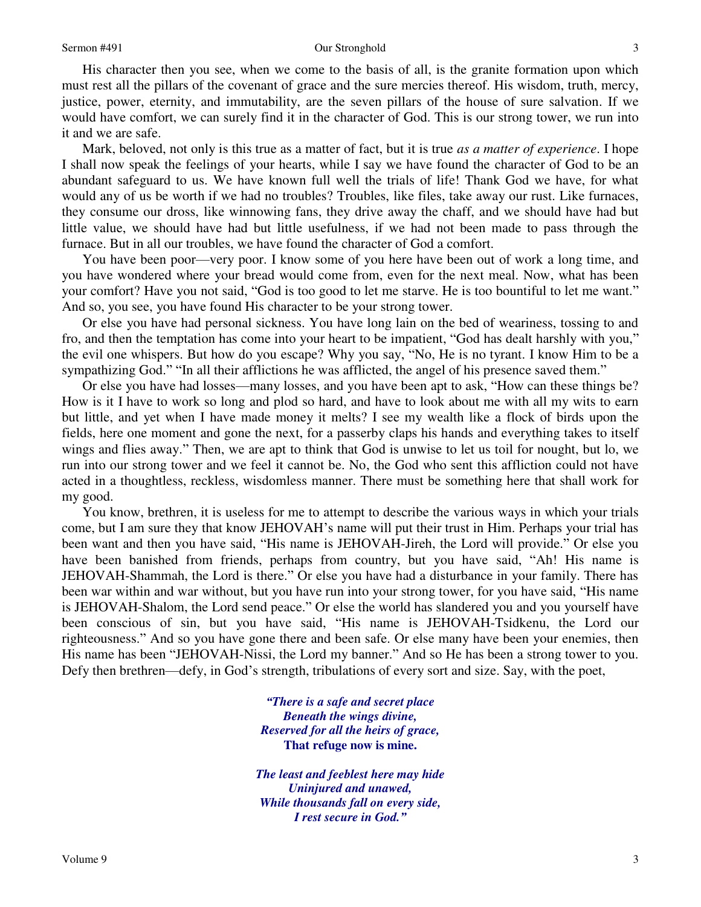### Sermon #491 Our Stronghold

His character then you see, when we come to the basis of all, is the granite formation upon which must rest all the pillars of the covenant of grace and the sure mercies thereof. His wisdom, truth, mercy, justice, power, eternity, and immutability, are the seven pillars of the house of sure salvation. If we would have comfort, we can surely find it in the character of God. This is our strong tower, we run into it and we are safe.

Mark, beloved, not only is this true as a matter of fact, but it is true *as a matter of experience*. I hope I shall now speak the feelings of your hearts, while I say we have found the character of God to be an abundant safeguard to us. We have known full well the trials of life! Thank God we have, for what would any of us be worth if we had no troubles? Troubles, like files, take away our rust. Like furnaces, they consume our dross, like winnowing fans, they drive away the chaff, and we should have had but little value, we should have had but little usefulness, if we had not been made to pass through the furnace. But in all our troubles, we have found the character of God a comfort.

You have been poor—very poor. I know some of you here have been out of work a long time, and you have wondered where your bread would come from, even for the next meal. Now, what has been your comfort? Have you not said, "God is too good to let me starve. He is too bountiful to let me want." And so, you see, you have found His character to be your strong tower.

Or else you have had personal sickness. You have long lain on the bed of weariness, tossing to and fro, and then the temptation has come into your heart to be impatient, "God has dealt harshly with you," the evil one whispers. But how do you escape? Why you say, "No, He is no tyrant. I know Him to be a sympathizing God." "In all their afflictions he was afflicted, the angel of his presence saved them."

Or else you have had losses—many losses, and you have been apt to ask, "How can these things be? How is it I have to work so long and plod so hard, and have to look about me with all my wits to earn but little, and yet when I have made money it melts? I see my wealth like a flock of birds upon the fields, here one moment and gone the next, for a passerby claps his hands and everything takes to itself wings and flies away." Then, we are apt to think that God is unwise to let us toil for nought, but lo, we run into our strong tower and we feel it cannot be. No, the God who sent this affliction could not have acted in a thoughtless, reckless, wisdomless manner. There must be something here that shall work for my good.

You know, brethren, it is useless for me to attempt to describe the various ways in which your trials come, but I am sure they that know JEHOVAH's name will put their trust in Him. Perhaps your trial has been want and then you have said, "His name is JEHOVAH-Jireh, the Lord will provide." Or else you have been banished from friends, perhaps from country, but you have said, "Ah! His name is JEHOVAH-Shammah, the Lord is there." Or else you have had a disturbance in your family. There has been war within and war without, but you have run into your strong tower, for you have said, "His name is JEHOVAH-Shalom, the Lord send peace." Or else the world has slandered you and you yourself have been conscious of sin, but you have said, "His name is JEHOVAH-Tsidkenu, the Lord our righteousness." And so you have gone there and been safe. Or else many have been your enemies, then His name has been "JEHOVAH-Nissi, the Lord my banner." And so He has been a strong tower to you. Defy then brethren—defy, in God's strength, tribulations of every sort and size. Say, with the poet,

> *"There is a safe and secret place Beneath the wings divine, Reserved for all the heirs of grace,* **That refuge now is mine.**

*The least and feeblest here may hide Uninjured and unawed, While thousands fall on every side, I rest secure in God."*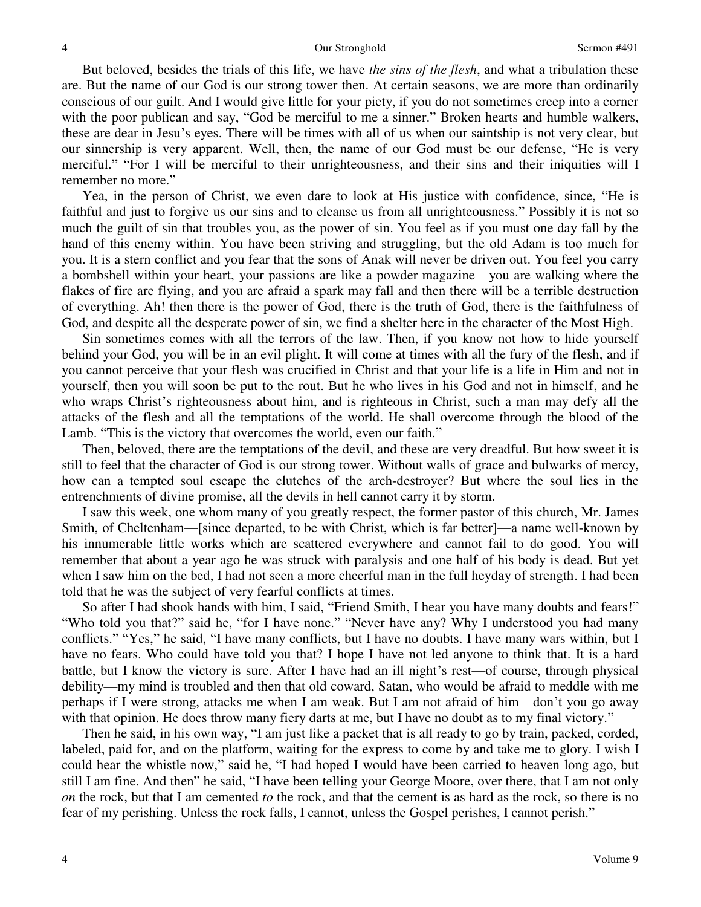But beloved, besides the trials of this life, we have *the sins of the flesh*, and what a tribulation these are. But the name of our God is our strong tower then. At certain seasons, we are more than ordinarily conscious of our guilt. And I would give little for your piety, if you do not sometimes creep into a corner with the poor publican and say, "God be merciful to me a sinner." Broken hearts and humble walkers, these are dear in Jesu's eyes. There will be times with all of us when our saintship is not very clear, but our sinnership is very apparent. Well, then, the name of our God must be our defense, "He is very merciful." "For I will be merciful to their unrighteousness, and their sins and their iniquities will I remember no more."

Yea, in the person of Christ, we even dare to look at His justice with confidence, since, "He is faithful and just to forgive us our sins and to cleanse us from all unrighteousness." Possibly it is not so much the guilt of sin that troubles you, as the power of sin. You feel as if you must one day fall by the hand of this enemy within. You have been striving and struggling, but the old Adam is too much for you. It is a stern conflict and you fear that the sons of Anak will never be driven out. You feel you carry a bombshell within your heart, your passions are like a powder magazine—you are walking where the flakes of fire are flying, and you are afraid a spark may fall and then there will be a terrible destruction of everything. Ah! then there is the power of God, there is the truth of God, there is the faithfulness of God, and despite all the desperate power of sin, we find a shelter here in the character of the Most High.

Sin sometimes comes with all the terrors of the law. Then, if you know not how to hide yourself behind your God, you will be in an evil plight. It will come at times with all the fury of the flesh, and if you cannot perceive that your flesh was crucified in Christ and that your life is a life in Him and not in yourself, then you will soon be put to the rout. But he who lives in his God and not in himself, and he who wraps Christ's righteousness about him, and is righteous in Christ, such a man may defy all the attacks of the flesh and all the temptations of the world. He shall overcome through the blood of the Lamb. "This is the victory that overcomes the world, even our faith."

Then, beloved, there are the temptations of the devil, and these are very dreadful. But how sweet it is still to feel that the character of God is our strong tower. Without walls of grace and bulwarks of mercy, how can a tempted soul escape the clutches of the arch-destroyer? But where the soul lies in the entrenchments of divine promise, all the devils in hell cannot carry it by storm.

I saw this week, one whom many of you greatly respect, the former pastor of this church, Mr. James Smith, of Cheltenham—[since departed, to be with Christ, which is far better]—a name well-known by his innumerable little works which are scattered everywhere and cannot fail to do good. You will remember that about a year ago he was struck with paralysis and one half of his body is dead. But yet when I saw him on the bed, I had not seen a more cheerful man in the full heyday of strength. I had been told that he was the subject of very fearful conflicts at times.

So after I had shook hands with him, I said, "Friend Smith, I hear you have many doubts and fears!" "Who told you that?" said he, "for I have none." "Never have any? Why I understood you had many conflicts." "Yes," he said, "I have many conflicts, but I have no doubts. I have many wars within, but I have no fears. Who could have told you that? I hope I have not led anyone to think that. It is a hard battle, but I know the victory is sure. After I have had an ill night's rest—of course, through physical debility—my mind is troubled and then that old coward, Satan, who would be afraid to meddle with me perhaps if I were strong, attacks me when I am weak. But I am not afraid of him—don't you go away with that opinion. He does throw many fiery darts at me, but I have no doubt as to my final victory."

Then he said, in his own way, "I am just like a packet that is all ready to go by train, packed, corded, labeled, paid for, and on the platform, waiting for the express to come by and take me to glory. I wish I could hear the whistle now," said he, "I had hoped I would have been carried to heaven long ago, but still I am fine. And then" he said, "I have been telling your George Moore, over there, that I am not only *on* the rock, but that I am cemented *to* the rock, and that the cement is as hard as the rock, so there is no fear of my perishing. Unless the rock falls, I cannot, unless the Gospel perishes, I cannot perish."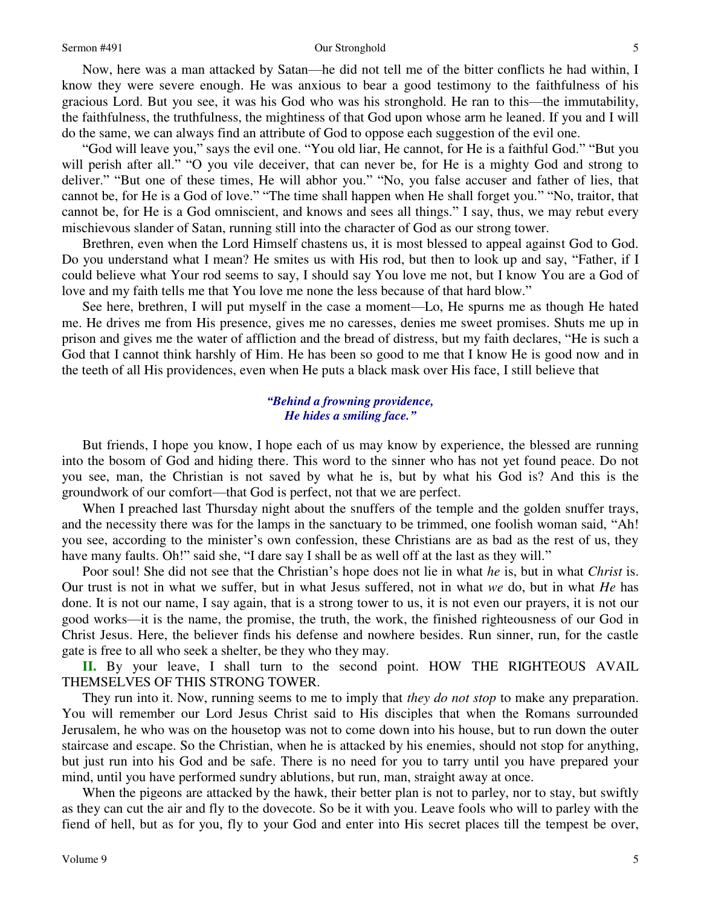#### Sermon #491 Our Stronghold

Now, here was a man attacked by Satan—he did not tell me of the bitter conflicts he had within, I know they were severe enough. He was anxious to bear a good testimony to the faithfulness of his gracious Lord. But you see, it was his God who was his stronghold. He ran to this—the immutability, the faithfulness, the truthfulness, the mightiness of that God upon whose arm he leaned. If you and I will do the same, we can always find an attribute of God to oppose each suggestion of the evil one.

"God will leave you," says the evil one. "You old liar, He cannot, for He is a faithful God." "But you will perish after all." "O you vile deceiver, that can never be, for He is a mighty God and strong to deliver." "But one of these times, He will abhor you." "No, you false accuser and father of lies, that cannot be, for He is a God of love." "The time shall happen when He shall forget you." "No, traitor, that cannot be, for He is a God omniscient, and knows and sees all things." I say, thus, we may rebut every mischievous slander of Satan, running still into the character of God as our strong tower.

Brethren, even when the Lord Himself chastens us, it is most blessed to appeal against God to God. Do you understand what I mean? He smites us with His rod, but then to look up and say, "Father, if I could believe what Your rod seems to say, I should say You love me not, but I know You are a God of love and my faith tells me that You love me none the less because of that hard blow."

See here, brethren, I will put myself in the case a moment—Lo, He spurns me as though He hated me. He drives me from His presence, gives me no caresses, denies me sweet promises. Shuts me up in prison and gives me the water of affliction and the bread of distress, but my faith declares, "He is such a God that I cannot think harshly of Him. He has been so good to me that I know He is good now and in the teeth of all His providences, even when He puts a black mask over His face, I still believe that

## *"Behind a frowning providence, He hides a smiling face."*

But friends, I hope you know, I hope each of us may know by experience, the blessed are running into the bosom of God and hiding there. This word to the sinner who has not yet found peace. Do not you see, man, the Christian is not saved by what he is, but by what his God is? And this is the groundwork of our comfort—that God is perfect, not that we are perfect.

When I preached last Thursday night about the snuffers of the temple and the golden snuffer trays, and the necessity there was for the lamps in the sanctuary to be trimmed, one foolish woman said, "Ah! you see, according to the minister's own confession, these Christians are as bad as the rest of us, they have many faults. Oh!" said she, "I dare say I shall be as well off at the last as they will."

Poor soul! She did not see that the Christian's hope does not lie in what *he* is, but in what *Christ* is. Our trust is not in what we suffer, but in what Jesus suffered, not in what *we* do, but in what *He* has done. It is not our name, I say again, that is a strong tower to us, it is not even our prayers, it is not our good works—it is the name, the promise, the truth, the work, the finished righteousness of our God in Christ Jesus. Here, the believer finds his defense and nowhere besides. Run sinner, run, for the castle gate is free to all who seek a shelter, be they who they may.

**II.** By your leave, I shall turn to the second point. HOW THE RIGHTEOUS AVAIL THEMSELVES OF THIS STRONG TOWER.

They run into it. Now, running seems to me to imply that *they do not stop* to make any preparation. You will remember our Lord Jesus Christ said to His disciples that when the Romans surrounded Jerusalem, he who was on the housetop was not to come down into his house, but to run down the outer staircase and escape. So the Christian, when he is attacked by his enemies, should not stop for anything, but just run into his God and be safe. There is no need for you to tarry until you have prepared your mind, until you have performed sundry ablutions, but run, man, straight away at once.

When the pigeons are attacked by the hawk, their better plan is not to parley, nor to stay, but swiftly as they can cut the air and fly to the dovecote. So be it with you. Leave fools who will to parley with the fiend of hell, but as for you, fly to your God and enter into His secret places till the tempest be over,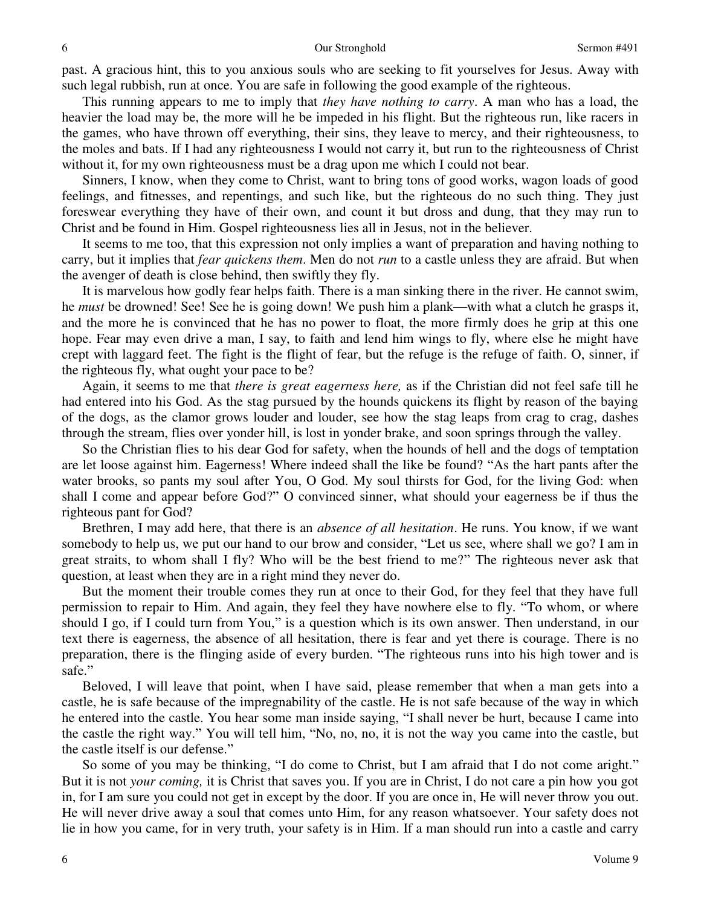past. A gracious hint, this to you anxious souls who are seeking to fit yourselves for Jesus. Away with such legal rubbish, run at once. You are safe in following the good example of the righteous.

This running appears to me to imply that *they have nothing to carry*. A man who has a load, the heavier the load may be, the more will he be impeded in his flight. But the righteous run, like racers in the games, who have thrown off everything, their sins, they leave to mercy, and their righteousness, to the moles and bats. If I had any righteousness I would not carry it, but run to the righteousness of Christ without it, for my own righteousness must be a drag upon me which I could not bear.

Sinners, I know, when they come to Christ, want to bring tons of good works, wagon loads of good feelings, and fitnesses, and repentings, and such like, but the righteous do no such thing. They just foreswear everything they have of their own, and count it but dross and dung, that they may run to Christ and be found in Him. Gospel righteousness lies all in Jesus, not in the believer.

It seems to me too, that this expression not only implies a want of preparation and having nothing to carry, but it implies that *fear quickens them*. Men do not *run* to a castle unless they are afraid. But when the avenger of death is close behind, then swiftly they fly.

It is marvelous how godly fear helps faith. There is a man sinking there in the river. He cannot swim, he *must* be drowned! See! See he is going down! We push him a plank—with what a clutch he grasps it, and the more he is convinced that he has no power to float, the more firmly does he grip at this one hope. Fear may even drive a man, I say, to faith and lend him wings to fly, where else he might have crept with laggard feet. The fight is the flight of fear, but the refuge is the refuge of faith. O, sinner, if the righteous fly, what ought your pace to be?

Again, it seems to me that *there is great eagerness here,* as if the Christian did not feel safe till he had entered into his God. As the stag pursued by the hounds quickens its flight by reason of the baying of the dogs, as the clamor grows louder and louder, see how the stag leaps from crag to crag, dashes through the stream, flies over yonder hill, is lost in yonder brake, and soon springs through the valley.

So the Christian flies to his dear God for safety, when the hounds of hell and the dogs of temptation are let loose against him. Eagerness! Where indeed shall the like be found? "As the hart pants after the water brooks, so pants my soul after You, O God. My soul thirsts for God, for the living God: when shall I come and appear before God?" O convinced sinner, what should your eagerness be if thus the righteous pant for God?

Brethren, I may add here, that there is an *absence of all hesitation*. He runs. You know, if we want somebody to help us, we put our hand to our brow and consider, "Let us see, where shall we go? I am in great straits, to whom shall I fly? Who will be the best friend to me?" The righteous never ask that question, at least when they are in a right mind they never do.

But the moment their trouble comes they run at once to their God, for they feel that they have full permission to repair to Him. And again, they feel they have nowhere else to fly. "To whom, or where should I go, if I could turn from You," is a question which is its own answer. Then understand, in our text there is eagerness, the absence of all hesitation, there is fear and yet there is courage. There is no preparation, there is the flinging aside of every burden. "The righteous runs into his high tower and is safe."

Beloved, I will leave that point, when I have said, please remember that when a man gets into a castle, he is safe because of the impregnability of the castle. He is not safe because of the way in which he entered into the castle. You hear some man inside saying, "I shall never be hurt, because I came into the castle the right way." You will tell him, "No, no, no, it is not the way you came into the castle, but the castle itself is our defense."

So some of you may be thinking, "I do come to Christ, but I am afraid that I do not come aright." But it is not *your coming,* it is Christ that saves you. If you are in Christ, I do not care a pin how you got in, for I am sure you could not get in except by the door. If you are once in, He will never throw you out. He will never drive away a soul that comes unto Him, for any reason whatsoever. Your safety does not lie in how you came, for in very truth, your safety is in Him. If a man should run into a castle and carry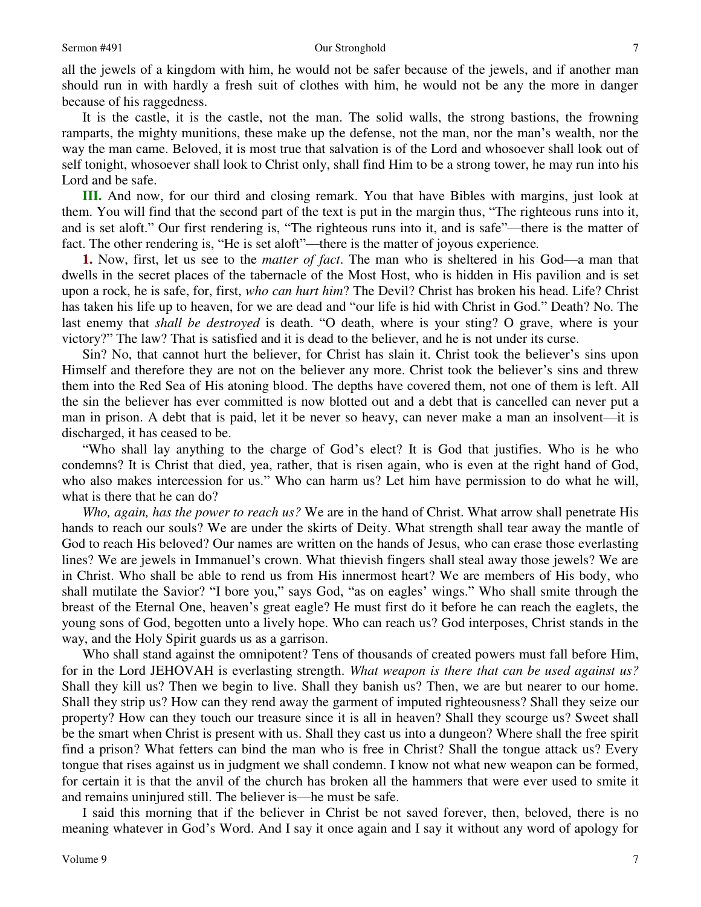all the jewels of a kingdom with him, he would not be safer because of the jewels, and if another man should run in with hardly a fresh suit of clothes with him, he would not be any the more in danger because of his raggedness.

It is the castle, it is the castle, not the man. The solid walls, the strong bastions, the frowning ramparts, the mighty munitions, these make up the defense, not the man, nor the man's wealth, nor the way the man came. Beloved, it is most true that salvation is of the Lord and whosoever shall look out of self tonight, whosoever shall look to Christ only, shall find Him to be a strong tower, he may run into his Lord and be safe.

**III.** And now, for our third and closing remark. You that have Bibles with margins, just look at them. You will find that the second part of the text is put in the margin thus, "The righteous runs into it, and is set aloft." Our first rendering is, "The righteous runs into it, and is safe"—there is the matter of fact. The other rendering is, "He is set aloft"—there is the matter of joyous experience*.*

**1.** Now, first, let us see to the *matter of fact*. The man who is sheltered in his God—a man that dwells in the secret places of the tabernacle of the Most Host, who is hidden in His pavilion and is set upon a rock, he is safe, for, first, *who can hurt him*? The Devil? Christ has broken his head. Life? Christ has taken his life up to heaven, for we are dead and "our life is hid with Christ in God." Death? No. The last enemy that *shall be destroyed* is death. "O death, where is your sting? O grave, where is your victory?" The law? That is satisfied and it is dead to the believer, and he is not under its curse.

Sin? No, that cannot hurt the believer, for Christ has slain it. Christ took the believer's sins upon Himself and therefore they are not on the believer any more. Christ took the believer's sins and threw them into the Red Sea of His atoning blood. The depths have covered them, not one of them is left. All the sin the believer has ever committed is now blotted out and a debt that is cancelled can never put a man in prison. A debt that is paid, let it be never so heavy, can never make a man an insolvent—it is discharged, it has ceased to be.

"Who shall lay anything to the charge of God's elect? It is God that justifies. Who is he who condemns? It is Christ that died, yea, rather, that is risen again, who is even at the right hand of God, who also makes intercession for us." Who can harm us? Let him have permission to do what he will, what is there that he can do?

*Who, again, has the power to reach us?* We are in the hand of Christ. What arrow shall penetrate His hands to reach our souls? We are under the skirts of Deity. What strength shall tear away the mantle of God to reach His beloved? Our names are written on the hands of Jesus, who can erase those everlasting lines? We are jewels in Immanuel's crown. What thievish fingers shall steal away those jewels? We are in Christ. Who shall be able to rend us from His innermost heart? We are members of His body, who shall mutilate the Savior? "I bore you," says God, "as on eagles' wings." Who shall smite through the breast of the Eternal One, heaven's great eagle? He must first do it before he can reach the eaglets, the young sons of God, begotten unto a lively hope. Who can reach us? God interposes, Christ stands in the way, and the Holy Spirit guards us as a garrison.

Who shall stand against the omnipotent? Tens of thousands of created powers must fall before Him, for in the Lord JEHOVAH is everlasting strength. *What weapon is there that can be used against us?*  Shall they kill us? Then we begin to live. Shall they banish us? Then, we are but nearer to our home. Shall they strip us? How can they rend away the garment of imputed righteousness? Shall they seize our property? How can they touch our treasure since it is all in heaven? Shall they scourge us? Sweet shall be the smart when Christ is present with us. Shall they cast us into a dungeon? Where shall the free spirit find a prison? What fetters can bind the man who is free in Christ? Shall the tongue attack us? Every tongue that rises against us in judgment we shall condemn. I know not what new weapon can be formed, for certain it is that the anvil of the church has broken all the hammers that were ever used to smite it and remains uninjured still. The believer is—he must be safe.

I said this morning that if the believer in Christ be not saved forever, then, beloved, there is no meaning whatever in God's Word. And I say it once again and I say it without any word of apology for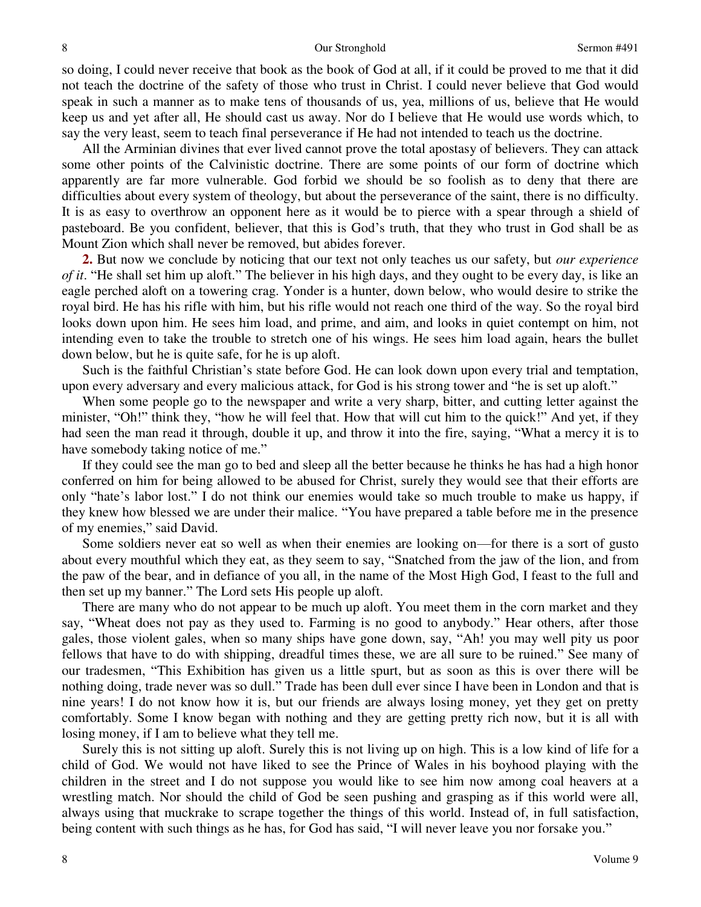so doing, I could never receive that book as the book of God at all, if it could be proved to me that it did not teach the doctrine of the safety of those who trust in Christ. I could never believe that God would speak in such a manner as to make tens of thousands of us, yea, millions of us, believe that He would keep us and yet after all, He should cast us away. Nor do I believe that He would use words which, to say the very least, seem to teach final perseverance if He had not intended to teach us the doctrine.

All the Arminian divines that ever lived cannot prove the total apostasy of believers. They can attack some other points of the Calvinistic doctrine. There are some points of our form of doctrine which apparently are far more vulnerable. God forbid we should be so foolish as to deny that there are difficulties about every system of theology, but about the perseverance of the saint, there is no difficulty. It is as easy to overthrow an opponent here as it would be to pierce with a spear through a shield of pasteboard. Be you confident, believer, that this is God's truth, that they who trust in God shall be as Mount Zion which shall never be removed, but abides forever.

**2.** But now we conclude by noticing that our text not only teaches us our safety, but *our experience of it*. "He shall set him up aloft." The believer in his high days, and they ought to be every day, is like an eagle perched aloft on a towering crag. Yonder is a hunter, down below, who would desire to strike the royal bird. He has his rifle with him, but his rifle would not reach one third of the way. So the royal bird looks down upon him. He sees him load, and prime, and aim, and looks in quiet contempt on him, not intending even to take the trouble to stretch one of his wings. He sees him load again, hears the bullet down below, but he is quite safe, for he is up aloft.

Such is the faithful Christian's state before God. He can look down upon every trial and temptation, upon every adversary and every malicious attack, for God is his strong tower and "he is set up aloft."

When some people go to the newspaper and write a very sharp, bitter, and cutting letter against the minister, "Oh!" think they, "how he will feel that. How that will cut him to the quick!" And yet, if they had seen the man read it through, double it up, and throw it into the fire, saying, "What a mercy it is to have somebody taking notice of me."

If they could see the man go to bed and sleep all the better because he thinks he has had a high honor conferred on him for being allowed to be abused for Christ, surely they would see that their efforts are only "hate's labor lost." I do not think our enemies would take so much trouble to make us happy, if they knew how blessed we are under their malice. "You have prepared a table before me in the presence of my enemies," said David.

Some soldiers never eat so well as when their enemies are looking on—for there is a sort of gusto about every mouthful which they eat, as they seem to say, "Snatched from the jaw of the lion, and from the paw of the bear, and in defiance of you all, in the name of the Most High God, I feast to the full and then set up my banner." The Lord sets His people up aloft.

There are many who do not appear to be much up aloft. You meet them in the corn market and they say, "Wheat does not pay as they used to. Farming is no good to anybody." Hear others, after those gales, those violent gales, when so many ships have gone down, say, "Ah! you may well pity us poor fellows that have to do with shipping, dreadful times these, we are all sure to be ruined." See many of our tradesmen, "This Exhibition has given us a little spurt, but as soon as this is over there will be nothing doing, trade never was so dull." Trade has been dull ever since I have been in London and that is nine years! I do not know how it is, but our friends are always losing money, yet they get on pretty comfortably. Some I know began with nothing and they are getting pretty rich now, but it is all with losing money, if I am to believe what they tell me.

Surely this is not sitting up aloft. Surely this is not living up on high. This is a low kind of life for a child of God. We would not have liked to see the Prince of Wales in his boyhood playing with the children in the street and I do not suppose you would like to see him now among coal heavers at a wrestling match. Nor should the child of God be seen pushing and grasping as if this world were all, always using that muckrake to scrape together the things of this world. Instead of, in full satisfaction, being content with such things as he has, for God has said, "I will never leave you nor forsake you."